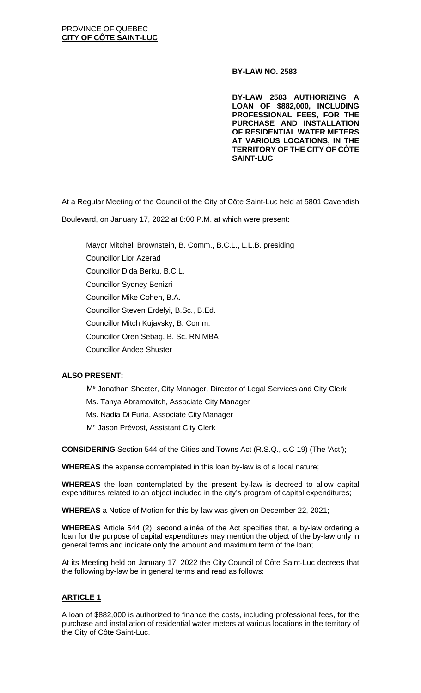**BY-LAW NO. 2583**

**BY-LAW 2583 AUTHORIZING A LOAN OF \$882,000, INCLUDING PROFESSIONAL FEES, FOR THE PURCHASE AND INSTALLATION OF RESIDENTIAL WATER METERS AT VARIOUS LOCATIONS, IN THE TERRITORY OF THE CITY OF CÔTE SAINT-LUC**

**\_\_\_\_\_\_\_\_\_\_\_\_\_\_\_\_\_\_\_\_\_\_\_\_\_\_\_\_\_\_**

**\_\_\_\_\_\_\_\_\_\_\_\_\_\_\_\_\_\_\_\_\_\_\_\_\_\_\_\_\_\_**

At a Regular Meeting of the Council of the City of Côte Saint-Luc held at 5801 Cavendish

Boulevard, on January 17, 2022 at 8:00 P.M. at which were present:

Mayor Mitchell Brownstein, B. Comm., B.C.L., L.L.B. presiding Councillor Lior Azerad Councillor Dida Berku, B.C.L. Councillor Sydney Benizri Councillor Mike Cohen, B.A. Councillor Steven Erdelyi, B.Sc., B.Ed. Councillor Mitch Kujavsky, B. Comm. Councillor Oren Sebag, B. Sc. RN MBA Councillor Andee Shuster

# **ALSO PRESENT:**

- Me Jonathan Shecter, City Manager, Director of Legal Services and City Clerk
- Ms. Tanya Abramovitch, Associate City Manager
- Ms. Nadia Di Furia, Associate City Manager
- Me Jason Prévost, Assistant City Clerk

**CONSIDERING** Section 544 of the Cities and Towns Act (R.S.Q., c.C-19) (The 'Act');

**WHEREAS** the expense contemplated in this loan by-law is of a local nature;

**WHEREAS** the loan contemplated by the present by-law is decreed to allow capital expenditures related to an object included in the city's program of capital expenditures;

**WHEREAS** a Notice of Motion for this by-law was given on December 22, 2021;

**WHEREAS** Article 544 (2), second alinéa of the Act specifies that, a by-law ordering a loan for the purpose of capital expenditures may mention the object of the by-law only in general terms and indicate only the amount and maximum term of the loan;

At its Meeting held on January 17, 2022 the City Council of Côte Saint-Luc decrees that the following by-law be in general terms and read as follows:

## **ARTICLE 1**

A loan of \$882,000 is authorized to finance the costs, including professional fees, for the purchase and installation of residential water meters at various locations in the territory of the City of Côte Saint-Luc.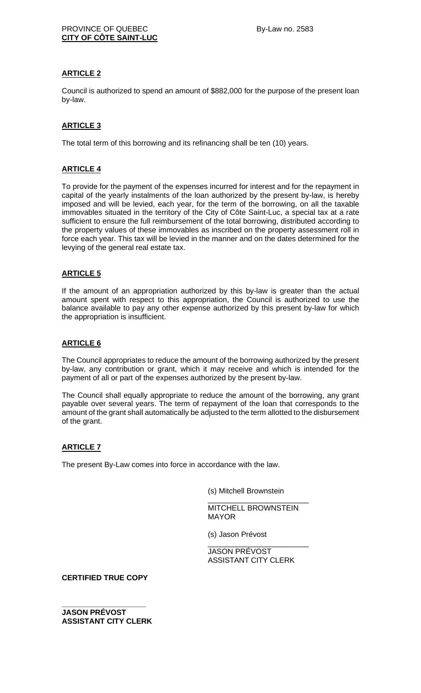## **ARTICLE 2**

Council is authorized to spend an amount of \$882,000 for the purpose of the present loan by-law.

## **ARTICLE 3**

The total term of this borrowing and its refinancing shall be ten (10) years.

## **ARTICLE 4**

To provide for the payment of the expenses incurred for interest and for the repayment in capital of the yearly instalments of the loan authorized by the present by-law, is hereby imposed and will be levied, each year, for the term of the borrowing, on all the taxable immovables situated in the territory of the City of Côte Saint-Luc, a special tax at a rate sufficient to ensure the full reimbursement of the total borrowing, distributed according to the property values of these immovables as inscribed on the property assessment roll in force each year. This tax will be levied in the manner and on the dates determined for the levying of the general real estate tax.

## **ARTICLE 5**

If the amount of an appropriation authorized by this by-law is greater than the actual amount spent with respect to this appropriation, the Council is authorized to use the balance available to pay any other expense authorized by this present by-law for which the appropriation is insufficient.

## **ARTICLE 6**

The Council appropriates to reduce the amount of the borrowing authorized by the present by-law, any contribution or grant, which it may receive and which is intended for the payment of all or part of the expenses authorized by the present by-law.

The Council shall equally appropriate to reduce the amount of the borrowing, any grant payable over several years. The term of repayment of the loan that corresponds to the amount of the grant shall automatically be adjusted to the term allotted to the disbursement of the grant.

## **ARTICLE 7**

The present By-Law comes into force in accordance with the law.

(s) Mitchell Brownstein

\_\_\_\_\_\_\_\_\_\_\_\_\_\_\_\_\_\_\_\_\_\_\_\_ MITCHELL BROWNSTEIN MAYOR

(s) Jason Prévost

\_\_\_\_\_\_\_\_\_\_\_\_\_\_\_\_\_\_\_\_\_\_\_\_ JASON PRÉVOST ASSISTANT CITY CLERK

**CERTIFIED TRUE COPY**

**\_\_\_\_\_\_\_\_\_\_\_\_\_\_\_\_\_\_\_\_ JASON PRÉVOST ASSISTANT CITY CLERK**